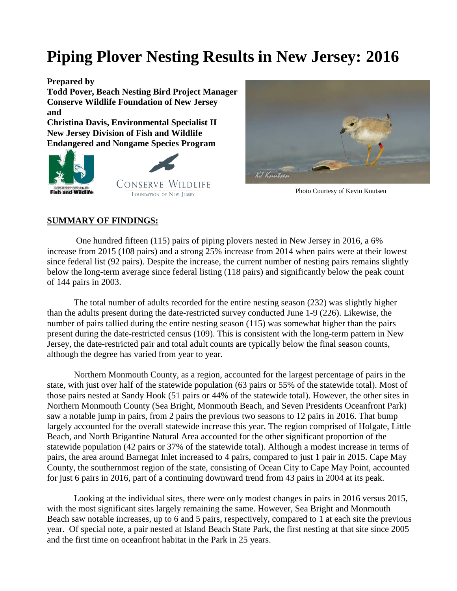# **Piping Plover Nesting Results in New Jersey: 2016**

**Prepared by**

**Todd Pover, Beach Nesting Bird Project Manager Conserve Wildlife Foundation of New Jersey and**

**Christina Davis, Environmental Specialist II New Jersey Division of Fish and Wildlife Endangered and Nongame Species Program** 





Photo Courtesy of Kevin Knutsen

### **SUMMARY OF FINDINGS:**

One hundred fifteen (115) pairs of piping plovers nested in New Jersey in 2016, a 6% increase from 2015 (108 pairs) and a strong 25% increase from 2014 when pairs were at their lowest since federal list (92 pairs). Despite the increase, the current number of nesting pairs remains slightly below the long-term average since federal listing (118 pairs) and significantly below the peak count of 144 pairs in 2003.

The total number of adults recorded for the entire nesting season (232) was slightly higher than the adults present during the date-restricted survey conducted June 1-9 (226). Likewise, the number of pairs tallied during the entire nesting season (115) was somewhat higher than the pairs present during the date-restricted census (109). This is consistent with the long-term pattern in New Jersey, the date-restricted pair and total adult counts are typically below the final season counts, although the degree has varied from year to year.

Northern Monmouth County, as a region, accounted for the largest percentage of pairs in the state, with just over half of the statewide population (63 pairs or 55% of the statewide total). Most of those pairs nested at Sandy Hook (51 pairs or 44% of the statewide total). However, the other sites in Northern Monmouth County (Sea Bright, Monmouth Beach, and Seven Presidents Oceanfront Park) saw a notable jump in pairs, from 2 pairs the previous two seasons to 12 pairs in 2016. That bump largely accounted for the overall statewide increase this year. The region comprised of Holgate, Little Beach, and North Brigantine Natural Area accounted for the other significant proportion of the statewide population (42 pairs or 37% of the statewide total). Although a modest increase in terms of pairs, the area around Barnegat Inlet increased to 4 pairs, compared to just 1 pair in 2015. Cape May County, the southernmost region of the state, consisting of Ocean City to Cape May Point, accounted for just 6 pairs in 2016, part of a continuing downward trend from 43 pairs in 2004 at its peak.

Looking at the individual sites, there were only modest changes in pairs in 2016 versus 2015, with the most significant sites largely remaining the same. However, Sea Bright and Monmouth Beach saw notable increases, up to 6 and 5 pairs, respectively, compared to 1 at each site the previous year. Of special note, a pair nested at Island Beach State Park, the first nesting at that site since 2005 and the first time on oceanfront habitat in the Park in 25 years.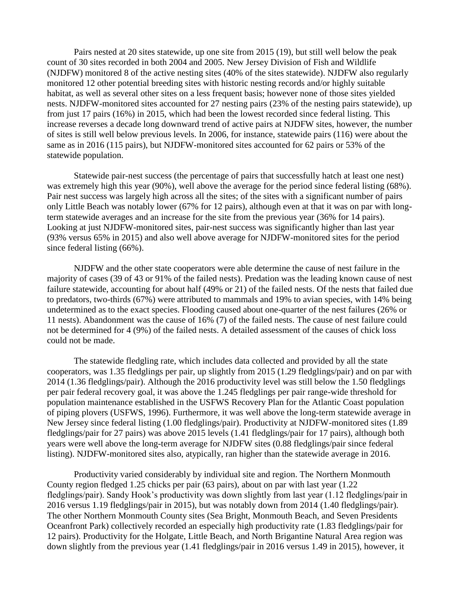Pairs nested at 20 sites statewide, up one site from 2015 (19), but still well below the peak count of 30 sites recorded in both 2004 and 2005. New Jersey Division of Fish and Wildlife (NJDFW) monitored 8 of the active nesting sites (40% of the sites statewide). NJDFW also regularly monitored 12 other potential breeding sites with historic nesting records and/or highly suitable habitat, as well as several other sites on a less frequent basis; however none of those sites yielded nests. NJDFW-monitored sites accounted for 27 nesting pairs (23% of the nesting pairs statewide), up from just 17 pairs (16%) in 2015, which had been the lowest recorded since federal listing. This increase reverses a decade long downward trend of active pairs at NJDFW sites, however, the number of sites is still well below previous levels. In 2006, for instance, statewide pairs (116) were about the same as in 2016 (115 pairs), but NJDFW-monitored sites accounted for 62 pairs or 53% of the statewide population.

Statewide pair-nest success (the percentage of pairs that successfully hatch at least one nest) was extremely high this year (90%), well above the average for the period since federal listing (68%). Pair nest success was largely high across all the sites; of the sites with a significant number of pairs only Little Beach was notably lower (67% for 12 pairs), although even at that it was on par with longterm statewide averages and an increase for the site from the previous year (36% for 14 pairs). Looking at just NJDFW-monitored sites, pair-nest success was significantly higher than last year (93% versus 65% in 2015) and also well above average for NJDFW-monitored sites for the period since federal listing (66%).

NJDFW and the other state cooperators were able determine the cause of nest failure in the majority of cases (39 of 43 or 91% of the failed nests). Predation was the leading known cause of nest failure statewide, accounting for about half (49% or 21) of the failed nests. Of the nests that failed due to predators, two-thirds (67%) were attributed to mammals and 19% to avian species, with 14% being undetermined as to the exact species. Flooding caused about one-quarter of the nest failures (26% or 11 nests). Abandonment was the cause of 16% (7) of the failed nests. The cause of nest failure could not be determined for 4 (9%) of the failed nests. A detailed assessment of the causes of chick loss could not be made.

The statewide fledgling rate, which includes data collected and provided by all the state cooperators, was 1.35 fledglings per pair, up slightly from 2015 (1.29 fledglings/pair) and on par with 2014 (1.36 fledglings/pair). Although the 2016 productivity level was still below the 1.50 fledglings per pair federal recovery goal, it was above the 1.245 fledglings per pair range-wide threshold for population maintenance established in the USFWS Recovery Plan for the Atlantic Coast population of piping plovers (USFWS, 1996). Furthermore, it was well above the long-term statewide average in New Jersey since federal listing (1.00 fledglings/pair). Productivity at NJDFW-monitored sites (1.89 fledglings/pair for 27 pairs) was above 2015 levels (1.41 fledglings/pair for 17 pairs), although both years were well above the long-term average for NJDFW sites (0.88 fledglings/pair since federal listing). NJDFW-monitored sites also, atypically, ran higher than the statewide average in 2016.

Productivity varied considerably by individual site and region. The Northern Monmouth County region fledged 1.25 chicks per pair (63 pairs), about on par with last year (1.22 fledglings/pair). Sandy Hook's productivity was down slightly from last year (1.12 fledglings/pair in 2016 versus 1.19 fledglings/pair in 2015), but was notably down from 2014 (1.40 fledglings/pair). The other Northern Monmouth County sites (Sea Bright, Monmouth Beach, and Seven Presidents Oceanfront Park) collectively recorded an especially high productivity rate (1.83 fledglings/pair for 12 pairs). Productivity for the Holgate, Little Beach, and North Brigantine Natural Area region was down slightly from the previous year (1.41 fledglings/pair in 2016 versus 1.49 in 2015), however, it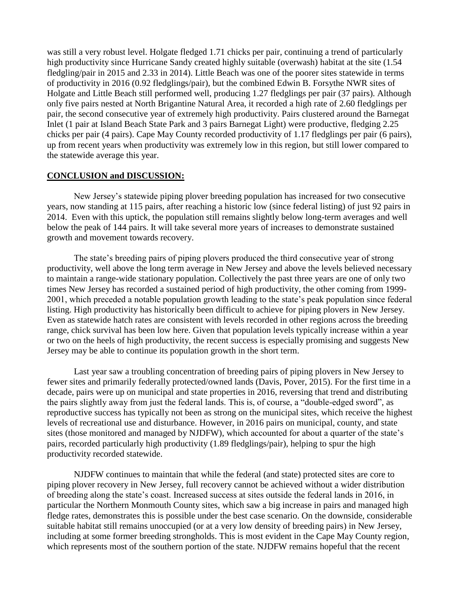was still a very robust level. Holgate fledged 1.71 chicks per pair, continuing a trend of particularly high productivity since Hurricane Sandy created highly suitable (overwash) habitat at the site (1.54 fledgling/pair in 2015 and 2.33 in 2014). Little Beach was one of the poorer sites statewide in terms of productivity in 2016 (0.92 fledglings/pair), but the combined Edwin B. Forsythe NWR sites of Holgate and Little Beach still performed well, producing 1.27 fledglings per pair (37 pairs). Although only five pairs nested at North Brigantine Natural Area, it recorded a high rate of 2.60 fledglings per pair, the second consecutive year of extremely high productivity. Pairs clustered around the Barnegat Inlet (1 pair at Island Beach State Park and 3 pairs Barnegat Light) were productive, fledging 2.25 chicks per pair (4 pairs). Cape May County recorded productivity of 1.17 fledglings per pair (6 pairs), up from recent years when productivity was extremely low in this region, but still lower compared to the statewide average this year.

#### **CONCLUSION and DISCUSSION:**

New Jersey's statewide piping plover breeding population has increased for two consecutive years, now standing at 115 pairs, after reaching a historic low (since federal listing) of just 92 pairs in 2014. Even with this uptick, the population still remains slightly below long-term averages and well below the peak of 144 pairs. It will take several more years of increases to demonstrate sustained growth and movement towards recovery.

The state's breeding pairs of piping plovers produced the third consecutive year of strong productivity, well above the long term average in New Jersey and above the levels believed necessary to maintain a range-wide stationary population. Collectively the past three years are one of only two times New Jersey has recorded a sustained period of high productivity, the other coming from 1999- 2001, which preceded a notable population growth leading to the state's peak population since federal listing. High productivity has historically been difficult to achieve for piping plovers in New Jersey. Even as statewide hatch rates are consistent with levels recorded in other regions across the breeding range, chick survival has been low here. Given that population levels typically increase within a year or two on the heels of high productivity, the recent success is especially promising and suggests New Jersey may be able to continue its population growth in the short term.

Last year saw a troubling concentration of breeding pairs of piping plovers in New Jersey to fewer sites and primarily federally protected/owned lands (Davis, Pover, 2015). For the first time in a decade, pairs were up on municipal and state properties in 2016, reversing that trend and distributing the pairs slightly away from just the federal lands. This is, of course, a "double-edged sword", as reproductive success has typically not been as strong on the municipal sites, which receive the highest levels of recreational use and disturbance. However, in 2016 pairs on municipal, county, and state sites (those monitored and managed by NJDFW), which accounted for about a quarter of the state's pairs, recorded particularly high productivity (1.89 fledglings/pair), helping to spur the high productivity recorded statewide.

NJDFW continues to maintain that while the federal (and state) protected sites are core to piping plover recovery in New Jersey, full recovery cannot be achieved without a wider distribution of breeding along the state's coast. Increased success at sites outside the federal lands in 2016, in particular the Northern Monmouth County sites, which saw a big increase in pairs and managed high fledge rates, demonstrates this is possible under the best case scenario. On the downside, considerable suitable habitat still remains unoccupied (or at a very low density of breeding pairs) in New Jersey, including at some former breeding strongholds. This is most evident in the Cape May County region, which represents most of the southern portion of the state. NJDFW remains hopeful that the recent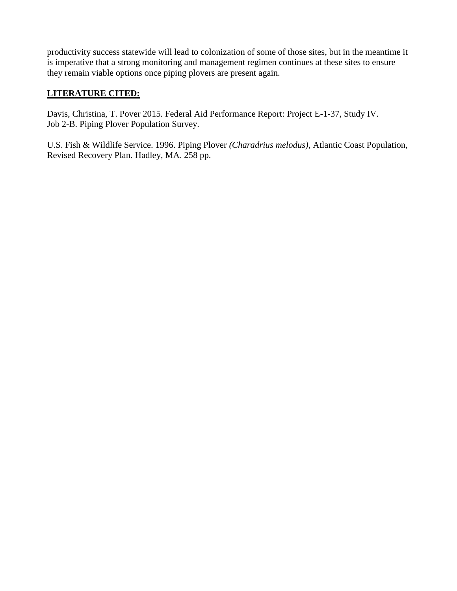productivity success statewide will lead to colonization of some of those sites, but in the meantime it is imperative that a strong monitoring and management regimen continues at these sites to ensure they remain viable options once piping plovers are present again.

## **LITERATURE CITED:**

Davis, Christina, T. Pover 2015. Federal Aid Performance Report: Project E-1-37, Study IV. Job 2-B. Piping Plover Population Survey.

U.S. Fish & Wildlife Service. 1996. Piping Plover *(Charadrius melodus)*, Atlantic Coast Population, Revised Recovery Plan. Hadley, MA. 258 pp.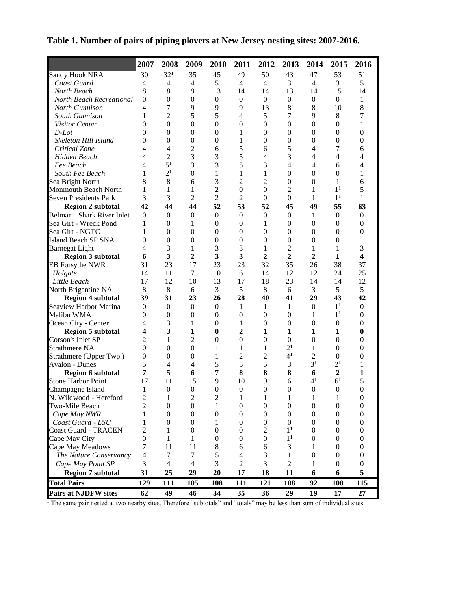|                              | 2007                     | 2008             | 2009             | 2010             | 2011             | 2012             | 2013             | 2014             | 2015             | 2016                    |
|------------------------------|--------------------------|------------------|------------------|------------------|------------------|------------------|------------------|------------------|------------------|-------------------------|
| <b>Sandy Hook NRA</b>        | 30                       | $32^{1}$         | 35               | 45               | 49               | 50               | 43               | 47               | 53               | 51                      |
| Coast Guard                  | 4                        | 4                | $\overline{4}$   | 5                | $\overline{4}$   | $\overline{4}$   | 3                | 4                | 3                | 5                       |
| North Beach                  | 8                        | 8                | 9                | 13               | 14               | 14               | 13               | 14               | 15               | 14                      |
| North Beach Recreational     | $\boldsymbol{0}$         | $\boldsymbol{0}$ | $\boldsymbol{0}$ | $\boldsymbol{0}$ | $\mathbf{0}$     | $\boldsymbol{0}$ | $\boldsymbol{0}$ | $\boldsymbol{0}$ | $\overline{0}$   | 1                       |
| North Gunnison               | 4                        | 7                | 9                | 9                | 9                | 13               | 8                | 8                | 10               | $\,8\,$                 |
| South Gunnison               | 1                        | 2                | 5                | 5                | $\overline{4}$   | 5                | 7                | 9                | 8                | 7                       |
| Visitor Center               | $\overline{0}$           | $\boldsymbol{0}$ | $\boldsymbol{0}$ | $\boldsymbol{0}$ | $\boldsymbol{0}$ | $\boldsymbol{0}$ | $\boldsymbol{0}$ | $\boldsymbol{0}$ | $\boldsymbol{0}$ | 1                       |
| $D$ -Lot                     | $\overline{0}$           | $\boldsymbol{0}$ | $\boldsymbol{0}$ | $\boldsymbol{0}$ | $\mathbf{1}$     | $\boldsymbol{0}$ | $\boldsymbol{0}$ | $\boldsymbol{0}$ | $\boldsymbol{0}$ | $\boldsymbol{0}$        |
| Skeleton Hill Island         | $\overline{0}$           | $\boldsymbol{0}$ | $\boldsymbol{0}$ | $\boldsymbol{0}$ | 1                | $\overline{0}$   | $\boldsymbol{0}$ | $\boldsymbol{0}$ | $\boldsymbol{0}$ | $\boldsymbol{0}$        |
| Critical Zone                | 4                        | $\overline{4}$   | $\overline{2}$   | 6                | 5                | 6                | 5                | 4                | 7                | 6                       |
| Hidden Beach                 | 4                        | $\overline{2}$   | 3                | 3                | 5                | $\overline{4}$   | 3                | 4                | 4                | 4                       |
| Fee Beach                    | 4                        | 5 <sup>1</sup>   | 3                | 3                | 5                | 3                | 4                | $\overline{4}$   | 6                | $\overline{4}$          |
| South Fee Beach              | 1                        | 2 <sup>1</sup>   | $\boldsymbol{0}$ | 1                | 1                | $\mathbf{1}$     | $\boldsymbol{0}$ | $\boldsymbol{0}$ | $\boldsymbol{0}$ | 1                       |
| Sea Bright North             | 8                        | 8                | 6                | 3                | $\overline{c}$   | $\overline{c}$   | $\boldsymbol{0}$ | $\boldsymbol{0}$ | 1                | 6                       |
| Monmouth Beach North         | 1                        | 1                | 1                | 2                | $\boldsymbol{0}$ | $\theta$         | 2                | 1                | 1 <sup>1</sup>   | 5                       |
| <b>Seven Presidents Park</b> | 3                        | 3                | $\overline{c}$   | $\overline{2}$   | $\overline{2}$   | $\boldsymbol{0}$ | $\boldsymbol{0}$ | 1                | 1 <sup>1</sup>   | 1                       |
| <b>Region 2 subtotal</b>     | 42                       | 44               | 44               | 52               | 53               | 52               | 45               | 49               | 55               | 63                      |
| Belmar - Shark River Inlet   | $\theta$                 | $\mathbf{0}$     | $\mathbf{0}$     | $\mathbf{0}$     | $\overline{0}$   | $\boldsymbol{0}$ | $\mathbf{0}$     | 1                | $\mathbf{0}$     | $\boldsymbol{0}$        |
| Sea Girt - Wreck Pond        | 1                        | $\theta$         | 1                | $\mathbf{0}$     | $\boldsymbol{0}$ | $\mathbf{1}$     | $\overline{0}$   | $\overline{0}$   | $\mathbf{0}$     | $\boldsymbol{0}$        |
| Sea Girt - NGTC              | 1                        | $\boldsymbol{0}$ | $\overline{0}$   | $\mathbf{0}$     | $\boldsymbol{0}$ | $\boldsymbol{0}$ | $\boldsymbol{0}$ | $\boldsymbol{0}$ | $\boldsymbol{0}$ | $\boldsymbol{0}$        |
| <b>Island Beach SP SNA</b>   | $\overline{0}$           | $\boldsymbol{0}$ | $\boldsymbol{0}$ | $\boldsymbol{0}$ | $\overline{0}$   | $\mathbf{0}$     | $\boldsymbol{0}$ | $\boldsymbol{0}$ | $\boldsymbol{0}$ | 1                       |
| <b>Barnegat Light</b>        | 4                        | 3                | $\mathbf 1$      | 3                | 3                | $\mathbf{1}$     | $\overline{c}$   | $\mathbf 1$      | 1                | 3                       |
| <b>Region 3 subtotal</b>     | 6                        | 3                | 2                | 3                | 3                | $\overline{2}$   | $\overline{2}$   | $\overline{2}$   | $\mathbf{1}$     | $\overline{\mathbf{4}}$ |
| <b>EB</b> Forsythe NWR       | 31                       | 23               | 17               | 23               | 23               | 32               | 35               | 26               | 38               | 37                      |
| Holgate                      | 14                       | 11               | 7                | 10               | 6                | 14               | 12               | 12               | 24               | 25                      |
| Little Beach                 | 17                       | 12               | 10               | 13               | 17               | 18               | 23               | 14               | 14               | 12                      |
| North Brigantine NA          | $\,8\,$                  | 8                | 6                | 3                | 5                | 8                | 6                | 3                | 5                | 5                       |
| <b>Region 4 subtotal</b>     | 39                       | 31               | 23               | 26               | 28               | 40               | 41               | 29               | 43               | 42                      |
| Seaview Harbor Marina        | $\mathbf{0}$             | $\boldsymbol{0}$ | $\boldsymbol{0}$ | $\boldsymbol{0}$ | $\mathbf{1}$     | $\mathbf{1}$     | $\mathbf 1$      | $\boldsymbol{0}$ | 1 <sup>1</sup>   | $\boldsymbol{0}$        |
| Malibu WMA                   | $\theta$                 | $\boldsymbol{0}$ | $\boldsymbol{0}$ | $\mathbf{0}$     | $\boldsymbol{0}$ | $\mathbf{0}$     | $\boldsymbol{0}$ | 1                | 1 <sup>1</sup>   | $\boldsymbol{0}$        |
| Ocean City - Center          | 4                        | 3                | 1                | $\mathbf{0}$     | 1                | $\boldsymbol{0}$ | $\boldsymbol{0}$ | $\boldsymbol{0}$ | $\mathbf{0}$     | $\boldsymbol{0}$        |
| <b>Region 5 subtotal</b>     | 4                        | 3                | $\mathbf{1}$     | $\bf{0}$         | $\overline{2}$   | $\mathbf{1}$     | $\mathbf{1}$     | $\mathbf{1}$     | 1                | $\bf{0}$                |
| Corson's Inlet SP            | 2                        | 1                | 2                | $\mathbf{0}$     | $\boldsymbol{0}$ | $\mathbf{0}$     | $\boldsymbol{0}$ | $\boldsymbol{0}$ | $\boldsymbol{0}$ | $\boldsymbol{0}$        |
| Strathmere NA                | $\mathbf{0}$             | $\boldsymbol{0}$ | $\boldsymbol{0}$ | 1                | 1                | $\mathbf{1}$     | 2 <sup>1</sup>   | 1                | $\boldsymbol{0}$ | $\boldsymbol{0}$        |
| Strathmere (Upper Twp.)      | 0                        | $\theta$         | $\boldsymbol{0}$ | 1                | $\overline{c}$   | $\overline{c}$   | 4 <sup>1</sup>   | $\overline{c}$   | $\boldsymbol{0}$ | $\boldsymbol{0}$        |
| <b>Avalon - Dunes</b>        | 5                        | 4                | 4                | 5                | 5                | 5                | 3                | 3 <sup>1</sup>   | 2 <sup>1</sup>   | 1                       |
| <b>Region 6 subtotal</b>     | 7                        | 5                | 6                | $\overline{7}$   | 8                | 8                | 8                | 6                | $\overline{2}$   | 1                       |
| <b>Stone Harbor Point</b>    | 17                       | 11               | 15               | 9                | 10               | 9                | 6                | $4^1$            | 6 <sup>1</sup>   | 5                       |
| Champagne Island             | 1                        | $\theta$         | $\Omega$         | $\Omega$         | $\theta$         | $\theta$         | 0                | $\theta$         | $\theta$         | $\theta$                |
| N. Wildwood - Hereford       | $\overline{c}$           | 1                | 2                | $\overline{c}$   | 1                | 1                | 1                | 1                | 1                | $\boldsymbol{0}$        |
| Two-Mile Beach               | 2                        | $\boldsymbol{0}$ | $\boldsymbol{0}$ | 1                | $\boldsymbol{0}$ | $\boldsymbol{0}$ | $\boldsymbol{0}$ | $\boldsymbol{0}$ | $\boldsymbol{0}$ | $\boldsymbol{0}$        |
| Cape May NWR                 | 1                        | $\theta$         | $\boldsymbol{0}$ | $\boldsymbol{0}$ | $\boldsymbol{0}$ | $\boldsymbol{0}$ | $\boldsymbol{0}$ | $\boldsymbol{0}$ | $\boldsymbol{0}$ | $\boldsymbol{0}$        |
| Coast Guard - LSU            | 1                        | $\theta$         | $\boldsymbol{0}$ | 1                | $\boldsymbol{0}$ | $\boldsymbol{0}$ | $\boldsymbol{0}$ | $\mathbf{0}$     | $\mathbf{0}$     | $\boldsymbol{0}$        |
| <b>Coast Guard - TRACEN</b>  | 2                        | 1                | $\boldsymbol{0}$ | $\mathbf{0}$     | $\boldsymbol{0}$ | $\mathfrak{2}$   | 1 <sup>1</sup>   | $\mathbf{0}$     | $\mathbf{0}$     | $\boldsymbol{0}$        |
| Cape May City                | $\boldsymbol{0}$         | 1                | 1                | $\mathbf{0}$     | $\boldsymbol{0}$ | $\boldsymbol{0}$ | 1 <sup>1</sup>   | $\boldsymbol{0}$ | 0                | $\boldsymbol{0}$        |
| Cape May Meadows             | 7                        | 11               | 11               | $\,8\,$          | 6                | 6                | 3                | 1                | $\mathbf{0}$     | $\boldsymbol{0}$        |
| The Nature Conservancy       | $\overline{\mathcal{A}}$ | $\tau$           | 7                | 5                | 4                | $\mathfrak{Z}$   | $\mathbf{1}$     | $\boldsymbol{0}$ | $\boldsymbol{0}$ | $\boldsymbol{0}$        |
| Cape May Point SP            | 3                        | $\overline{4}$   | $\overline{4}$   | 3                | $\mathfrak{2}$   | 3                | $\overline{2}$   | 1                | $\boldsymbol{0}$ | $\boldsymbol{0}$        |
| <b>Region 7 subtotal</b>     | 31                       | 25               | 29               | 20               | 17               | 18               | 11               | 6                | 6                | 5                       |
|                              |                          |                  |                  |                  |                  |                  |                  |                  |                  |                         |
| <b>Total Pairs</b>           | 129                      | 111              | 105              | 108              | 111              | 121              | 108              | 92               | 108              | 115                     |
| <b>Pairs at NJDFW sites</b>  | 62                       | 49               | 46               | 34               | 35               | 36               | 29               | 19               | 17               | 27                      |

**Table 1. Number of pairs of piping plovers at New Jersey nesting sites: 2007-2016.**

<sup>1</sup> The same pair nested at two nearby sites. Therefore "subtotals" and "totals" may be less than sum of individual sites.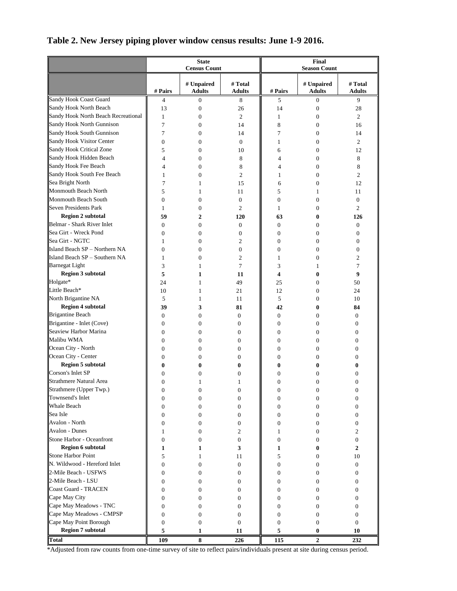# **Table 2. New Jersey piping plover window census results: June 1-9 2016.**

|                                     |                  | <b>State</b><br><b>Census Count</b> |                          | Final<br><b>Season Count</b> |                             |                          |  |
|-------------------------------------|------------------|-------------------------------------|--------------------------|------------------------------|-----------------------------|--------------------------|--|
|                                     | # Pairs          | # Unpaired<br><b>Adults</b>         | # Total<br><b>Adults</b> | # Pairs                      | # Unpaired<br><b>Adults</b> | # Total<br><b>Adults</b> |  |
| Sandy Hook Coast Guard              | 4                | $\boldsymbol{0}$                    | 8                        | 5                            | $\mathbf{0}$                | 9                        |  |
| Sandy Hook North Beach              | 13               | $\mathbf{0}$                        | 26                       | 14                           | $\boldsymbol{0}$            | 28                       |  |
| Sandy Hook North Beach Recreational | $\mathbf{1}$     | $\mathbf{0}$                        | 2                        | 1                            | $\mathbf{0}$                | 2                        |  |
| Sandy Hook North Gunnison           | 7                | $\mathbf{0}$                        | 14                       | 8                            | $\boldsymbol{0}$            | 16                       |  |
| Sandy Hook South Gunnison           | 7                | $\mathbf{0}$                        | 14                       | 7                            | $\mathbf{0}$                | 14                       |  |
| Sandy Hook Visitor Center           | $\boldsymbol{0}$ | $\Omega$                            | $\overline{0}$           | 1                            | $\mathbf{0}$                | 2                        |  |
| Sandy Hook Critical Zone            | 5                | $\mathbf{0}$                        | 10                       | 6                            | $\mathbf{0}$                | 12                       |  |
| Sandy Hook Hidden Beach             | $\overline{4}$   | $\mathbf{0}$                        | 8                        | 4                            | $\mathbf{0}$                | 8                        |  |
| Sandy Hook Fee Beach                | 4                | $\mathbf{0}$                        | 8                        | 4                            | $\mathbf{0}$                | 8                        |  |
| Sandy Hook South Fee Beach          | $\mathbf{1}$     | $\overline{0}$                      | $\overline{c}$           | 1                            | $\mathbf{0}$                | $\overline{c}$           |  |
| Sea Bright North                    | 7                | 1                                   | 15                       | 6                            | $\mathbf{0}$                | 12                       |  |
| Monmouth Beach North                | 5                | 1                                   | 11                       | 5                            | 1                           | 11                       |  |
| Monmouth Beach South                | $\boldsymbol{0}$ | $\mathbf{0}$                        | $\mathbf{0}$             | $\boldsymbol{0}$             | $\mathbf{0}$                | $\boldsymbol{0}$         |  |
| Seven Presidents Park               | 1                | $\mathbf{0}$                        | $\overline{c}$           | 1                            | $\mathbf{0}$                | $\overline{c}$           |  |
| <b>Region 2 subtotal</b>            | 59               | 2                                   | 120                      | 63                           | $\bf{0}$                    | 126                      |  |
| Belmar - Shark River Inlet          | 0                | $\boldsymbol{0}$                    | 0                        | $\mathbf{0}$                 | $\mathbf{0}$                | $\boldsymbol{0}$         |  |
| Sea Girt - Wreck Pond               | $\overline{0}$   | $\mathbf{0}$                        | $\overline{0}$           | $\mathbf{0}$                 | $\mathbf{0}$                | $\mathbf{0}$             |  |
| Sea Girt - NGTC                     | 1                | $\mathbf{0}$                        | $\overline{c}$           | $\mathbf{0}$                 | $\mathbf{0}$                | $\boldsymbol{0}$         |  |
| Island Beach SP - Northern NA       | $\overline{0}$   | $\mathbf{0}$                        | $\overline{0}$           | $\mathbf{0}$                 | $\mathbf{0}$                | $\boldsymbol{0}$         |  |
| Island Beach SP - Southern NA       | $\mathbf{1}$     | $\Omega$                            | $\overline{c}$           | 1                            | $\mathbf{0}$                | $\overline{c}$           |  |
| <b>Barnegat Light</b>               | 3                | 1                                   | $\overline{7}$           | 3                            | 1                           | 7                        |  |
| <b>Region 3 subtotal</b>            | 5                | 1                                   | 11                       | 4                            | $\bf{0}$                    | 9                        |  |
| Holgate*                            | 24               | 1                                   | 49                       | 25                           | $\mathbf{0}$                | 50                       |  |
| Little Beach*                       | 10               | 1                                   | 21                       | 12                           | $\boldsymbol{0}$            | 24                       |  |
| North Brigantine NA                 | 5                | 1                                   | 11                       | 5                            | $\mathbf{0}$                | 10                       |  |
| <b>Region 4 subtotal</b>            | 39               | 3                                   | 81                       | 42                           | $\bf{0}$                    | 84                       |  |
| Brigantine Beach                    | 0                | $\mathbf{0}$                        | $\mathbf{0}$             | $\mathbf{0}$                 | $\mathbf{0}$                | $\boldsymbol{0}$         |  |
| Brigantine - Inlet (Cove)           | $\boldsymbol{0}$ | $\mathbf{0}$                        | $\mathbf{0}$             | $\mathbf{0}$                 | $\mathbf{0}$                | $\boldsymbol{0}$         |  |
| Seaview Harbor Marina               | $\boldsymbol{0}$ | $\mathbf{0}$                        | 0                        | $\boldsymbol{0}$             | $\mathbf{0}$                | $\boldsymbol{0}$         |  |
| Malibu WMA                          | $\mathbf{0}$     | $\mathbf{0}$                        | 0                        | $\mathbf{0}$                 | $\mathbf{0}$                | $\mathbf{0}$             |  |
| Ocean City - North                  | $\boldsymbol{0}$ | $\mathbf{0}$                        | 0                        | $\mathbf{0}$                 | $\boldsymbol{0}$            |                          |  |
| Ocean City - Center                 | $\mathbf{0}$     | $\mathbf{0}$                        | 0                        | $\mathbf{0}$                 | $\mathbf{0}$                | 0<br>$\boldsymbol{0}$    |  |
| <b>Region 5 subtotal</b>            | $\bf{0}$         | 0                                   | 0                        | 0                            | 0                           | 0                        |  |
| Corson's Inlet SP                   | 0                | 0                                   | 0                        | 0                            | $\mathbf{0}$                | $\Omega$                 |  |
| Strathmere Natural Area             | $\boldsymbol{0}$ | 1                                   | 1                        | $\boldsymbol{0}$             | $\mathbf{0}$                | $\mathbf{0}$             |  |
| Strathmere (Upper Twp.)             | $\boldsymbol{0}$ | 0                                   | 0                        |                              | $\boldsymbol{0}$            |                          |  |
| Townsend's Inlet                    |                  |                                     |                          |                              |                             |                          |  |
| <b>Whale Beach</b>                  | $\boldsymbol{0}$ | $\boldsymbol{0}$                    | 0                        | $\boldsymbol{0}$             | $\boldsymbol{0}$            | $\boldsymbol{0}$         |  |
| Sea Isle                            | $\boldsymbol{0}$ | $\mathbf{0}$                        | 0                        | $\mathbf{0}$                 | $\boldsymbol{0}$            | $\boldsymbol{0}$         |  |
| Avalon - North                      | $\boldsymbol{0}$ | $\mathbf{0}$                        | $\mathbf{0}$             | $\mathbf{0}$                 | $\boldsymbol{0}$            | $\boldsymbol{0}$         |  |
| Avalon - Dunes                      | $\boldsymbol{0}$ | $\mathbf{0}$                        | 0                        | $\boldsymbol{0}$             | $\mathbf{0}$                | $\theta$                 |  |
|                                     | 1                | 0                                   | 2                        | 1                            | 0                           | 2                        |  |
| Stone Harbor - Oceanfront           | $\boldsymbol{0}$ | 0                                   | $\mathbf{0}$             | $\boldsymbol{0}$             | 0                           | $\mathbf{0}$             |  |
| <b>Region 6 subtotal</b>            | $\mathbf{1}$     | 1                                   | 3                        | 1                            | $\bf{0}$                    | $\overline{2}$           |  |
| Stone Harbor Point                  | 5                | 1                                   | 11                       | 5                            | $\boldsymbol{0}$            | 10                       |  |
| N. Wildwood - Hereford Inlet        | $\boldsymbol{0}$ | $\mathbf{0}$                        | $\mathbf{0}$             | $\boldsymbol{0}$             | $\boldsymbol{0}$            | $\mathbf{0}$             |  |
| 2-Mile Beach - USFWS                | $\boldsymbol{0}$ | 0                                   | $\mathbf{0}$             | 0                            | $\boldsymbol{0}$            | $\theta$                 |  |
| 2-Mile Beach - LSU                  | $\boldsymbol{0}$ | 0                                   | 0                        | 0                            | 0                           | $\mathbf{0}$             |  |
| Coast Guard - TRACEN                | $\boldsymbol{0}$ | 0                                   | 0                        | 0                            | $\boldsymbol{0}$            | $\boldsymbol{0}$         |  |
| Cape May City                       | $\boldsymbol{0}$ | 0                                   | 0                        | 0                            | $\boldsymbol{0}$            | $\boldsymbol{0}$         |  |
| Cape May Meadows - TNC              | $\boldsymbol{0}$ | $\mathbf{0}$                        | 0                        | $\boldsymbol{0}$             | $\mathbf{0}$                | $\mathbf{0}$             |  |
| Cape May Meadows - CMPSP            | $\boldsymbol{0}$ | $\boldsymbol{0}$                    | 0                        | $\boldsymbol{0}$             | $\boldsymbol{0}$            | $\boldsymbol{0}$         |  |
| Cape May Point Borough              | 0                | $\boldsymbol{0}$                    | $\mathbf{0}$             | $\boldsymbol{0}$             | $\boldsymbol{0}$            | $\boldsymbol{0}$         |  |
| <b>Region 7 subtotal</b>            | 5                | 1                                   | 11                       | 5                            | $\bf{0}$                    | 10                       |  |
| <b>Total</b>                        | 109              | 8                                   | 226                      | 115                          | $\overline{2}$              | 232                      |  |

\*Adjusted from raw counts from one-time survey of site to reflect pairs/individuals present at site during census period.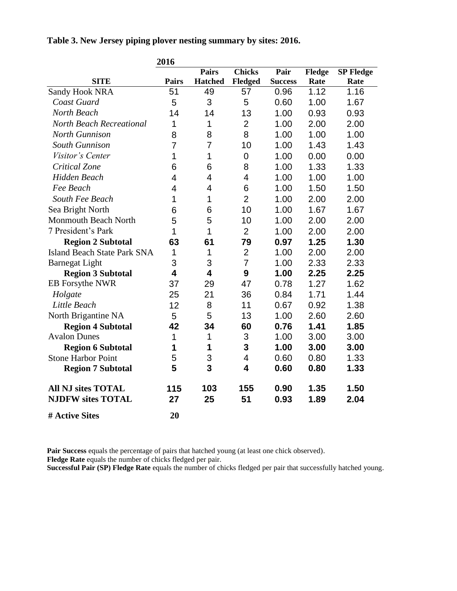|                                    | 2016           |                |                |                |        |                  |
|------------------------------------|----------------|----------------|----------------|----------------|--------|------------------|
|                                    |                | <b>Pairs</b>   | <b>Chicks</b>  | Pair           | Fledge | <b>SP Fledge</b> |
| <b>SITE</b>                        | <b>Pairs</b>   | <b>Hatched</b> | <b>Fledged</b> | <b>Success</b> | Rate   | Rate             |
| <b>Sandy Hook NRA</b>              | 51             | 49             | 57             | 0.96           | 1.12   | 1.16             |
| Coast Guard                        | 5              | 3              | 5              | 0.60           | 1.00   | 1.67             |
| North Beach                        | 14             | 14             | 13             | 1.00           | 0.93   | 0.93             |
| <b>North Beach Recreational</b>    | 1              | 1              | $\overline{2}$ | 1.00           | 2.00   | 2.00             |
| <b>North Gunnison</b>              | 8              | 8              | 8              | 1.00           | 1.00   | 1.00             |
| <b>South Gunnison</b>              | $\overline{7}$ | 7              | 10             | 1.00           | 1.43   | 1.43             |
| Visitor's Center                   | 1              | 1              | $\overline{0}$ | 1.00           | 0.00   | 0.00             |
| Critical Zone                      | 6              | 6              | 8              | 1.00           | 1.33   | 1.33             |
| <b>Hidden Beach</b>                | 4              | 4              | 4              | 1.00           | 1.00   | 1.00             |
| Fee Beach                          | 4              | 4              | 6              | 1.00           | 1.50   | 1.50             |
| South Fee Beach                    | 1              | 1              | $\overline{2}$ | 1.00           | 2.00   | 2.00             |
| Sea Bright North                   | 6              | 6              | 10             | 1.00           | 1.67   | 1.67             |
| <b>Monmouth Beach North</b>        | 5              | 5              | 10             | 1.00           | 2.00   | 2.00             |
| 7 President's Park                 | 1              | 1              | $\overline{2}$ | 1.00           | 2.00   | 2.00             |
| <b>Region 2 Subtotal</b>           | 63             | 61             | 79             | 0.97           | 1.25   | 1.30             |
| <b>Island Beach State Park SNA</b> | 1              | 1              | $\overline{2}$ | 1.00           | 2.00   | 2.00             |
| <b>Barnegat Light</b>              | 3              | 3              | $\overline{7}$ | 1.00           | 2.33   | 2.33             |
| <b>Region 3 Subtotal</b>           | 4              | 4              | 9              | 1.00           | 2.25   | 2.25             |
| <b>EB</b> Forsythe NWR             | 37             | 29             | 47             | 0.78           | 1.27   | 1.62             |
| Holgate                            | 25             | 21             | 36             | 0.84           | 1.71   | 1.44             |
| Little Beach                       | 12             | 8              | 11             | 0.67           | 0.92   | 1.38             |
| North Brigantine NA                | 5              | 5              | 13             | 1.00           | 2.60   | 2.60             |
| <b>Region 4 Subtotal</b>           | 42             | 34             | 60             | 0.76           | 1.41   | 1.85             |
| <b>Avalon Dunes</b>                | 1              | 1              | 3              | 1.00           | 3.00   | 3.00             |
| <b>Region 6 Subtotal</b>           | 1              | 1              | 3              | 1.00           | 3.00   | 3.00             |
| <b>Stone Harbor Point</b>          | 5              | 3              | $\overline{4}$ | 0.60           | 0.80   | 1.33             |
| <b>Region 7 Subtotal</b>           | 5              | 3              | 4              | 0.60           | 0.80   | 1.33             |
| <b>All NJ sites TOTAL</b>          | 115            | 103            | 155            | 0.90           | 1.35   | 1.50             |
| <b>NJDFW sites TOTAL</b>           | 27             | 25             | 51             | 0.93           | 1.89   | 2.04             |
| # Active Sites                     | 20             |                |                |                |        |                  |

**Table 3. New Jersey piping plover nesting summary by sites: 2016.**

**Pair Success** equals the percentage of pairs that hatched young (at least one chick observed).

**Fledge Rate** equals the number of chicks fledged per pair.

**Successful Pair (SP) Fledge Rate** equals the number of chicks fledged per pair that successfully hatched young.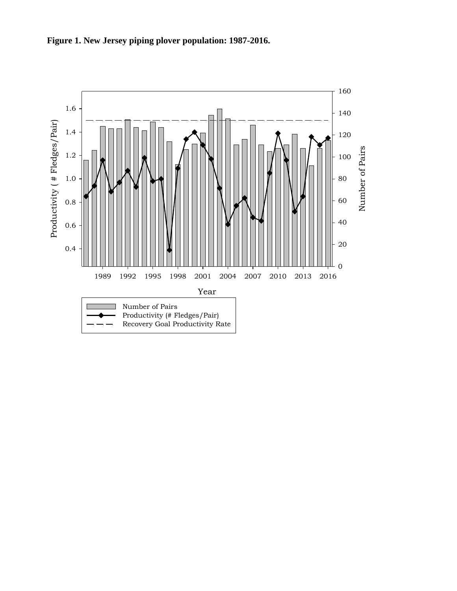